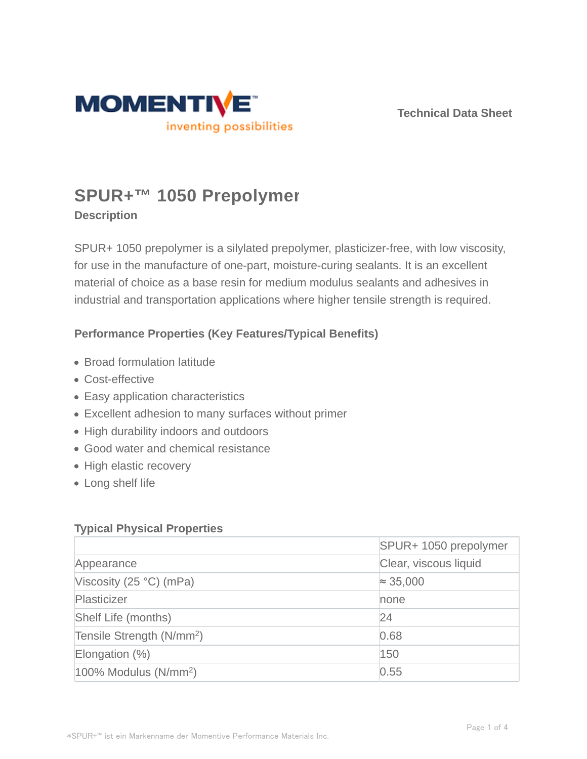

**Technical Data Sheet**

# **SPUR+™ 1050 Prepolymer**

## **Description**

SPUR+ 1050 prepolymer is a silylated prepolymer, plasticizer-free, with low viscosity, for use in the manufacture of one-part, moisture-curing sealants. It is an excellent material of choice as a base resin for medium modulus sealants and adhesives in industrial and transportation applications where higher tensile strength is required.

## **Performance Properties (Key Features/Typical Benefits)**

- Broad formulation latitude
- Cost-effective
- Easy application characteristics
- Excellent adhesion to many surfaces without primer
- High durability indoors and outdoors
- Good water and chemical resistance
- High elastic recovery
- Long shelf life

#### **Typical Physical Properties**

|                                       | SPUR+ 1050 prepolymer |  |
|---------------------------------------|-----------------------|--|
| Appearance                            | Clear, viscous liquid |  |
| Viscosity (25 $\degree$ C) (mPa)      | $\approx 35,000$      |  |
| Plasticizer                           | none                  |  |
| Shelf Life (months)                   | 24                    |  |
| Tensile Strength (N/mm <sup>2</sup> ) | 0.68                  |  |
| Elongation $(\%)$                     | 150                   |  |
| $100\%$ Modulus (N/mm <sup>2</sup> )  | 0.55                  |  |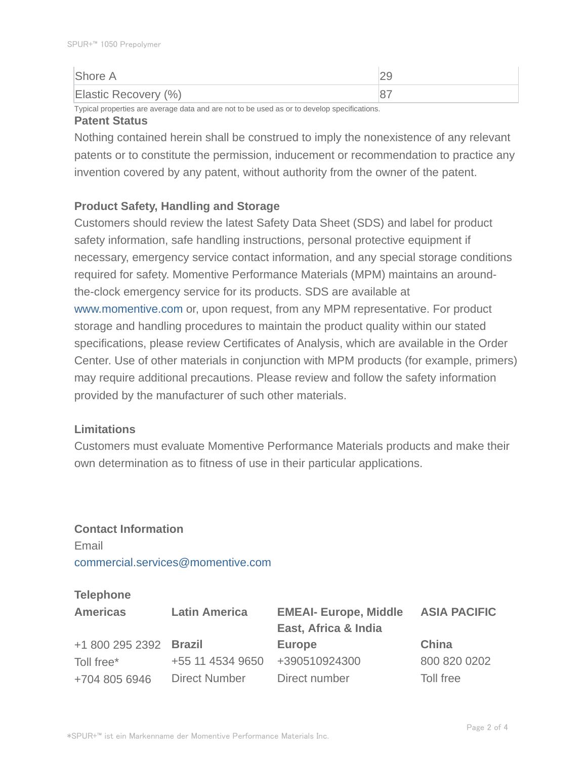| Shore A              |  |
|----------------------|--|
| Elastic Recovery (%) |  |

Typical properties are average data and are not to be used as or to develop specifications. **Patent Status**

# Nothing contained herein shall be construed to imply the nonexistence of any relevant patents or to constitute the permission, inducement or recommendation to practice any invention covered by any patent, without authority from the owner of the patent.

#### **Product Safety, Handling and Storage**

Customers should review the latest Safety Data Sheet (SDS) and label for product safety information, safe handling instructions, personal protective equipment if necessary, emergency service contact information, and any special storage conditions required for safety. Momentive Performance Materials (MPM) maintains an aroundthe-clock emergency service for its products. SDS are available at www.momentive.com or, upon request, from any MPM representative. For product storage and handling procedures to maintain the product quality within our stated specifications, please review Certificates of Analysis, which are available in the Order Center. Use of other materials in conjunction with MPM products (for example, primers) may require additional precautions. Please review and follow the safety information provided by the manufacturer of such other materials.

#### **Limitations**

Customers must evaluate Momentive Performance Materials products and make their own determination as to fitness of use in their particular applications.

# **Contact Information** Email commercial.services@momentive.com

### **Telephone**

| <b>Americas</b>        | <b>Latin America</b> | <b>EMEAI- Europe, Middle</b><br>East, Africa & India | <b>ASIA PACIFIC</b> |
|------------------------|----------------------|------------------------------------------------------|---------------------|
| +1 800 295 2392 Brazil |                      | <b>Europe</b>                                        | China               |
| Toll free*             | +55 11 4534 9650     | +390510924300                                        | 800 820 0202        |
| +704 805 6946          | <b>Direct Number</b> | Direct number                                        | Toll free           |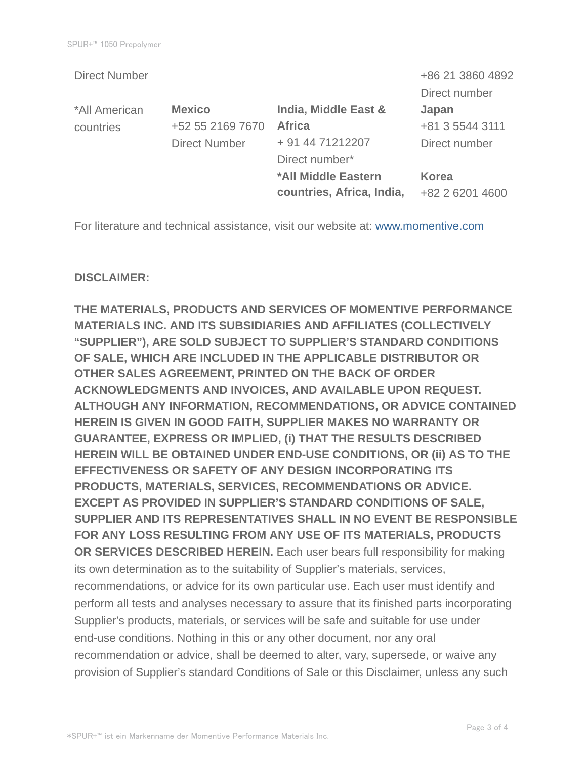|                      |                           | +86 21 3860 4892 |
|----------------------|---------------------------|------------------|
|                      |                           | Direct number    |
| <b>Mexico</b>        | India, Middle East &      | Japan            |
| +52 55 2169 7670     | <b>Africa</b>             | +81 3 5544 3111  |
| <b>Direct Number</b> | + 91 44 71212207          | Direct number    |
|                      | Direct number*            |                  |
|                      | *All Middle Eastern       | <b>Korea</b>     |
|                      | countries, Africa, India, | +82 2 6201 4600  |
|                      |                           |                  |

For literature and technical assistance, visit our website at: www.momentive.com

#### **DISCLAIMER:**

**THE MATERIALS, PRODUCTS AND SERVICES OF MOMENTIVE PERFORMANCE MATERIALS INC. AND ITS SUBSIDIARIES AND AFFILIATES (COLLECTIVELY "SUPPLIER"), ARE SOLD SUBJECT TO SUPPLIER'S STANDARD CONDITIONS OF SALE, WHICH ARE INCLUDED IN THE APPLICABLE DISTRIBUTOR OR OTHER SALES AGREEMENT, PRINTED ON THE BACK OF ORDER ACKNOWLEDGMENTS AND INVOICES, AND AVAILABLE UPON REQUEST. ALTHOUGH ANY INFORMATION, RECOMMENDATIONS, OR ADVICE CONTAINED HEREIN IS GIVEN IN GOOD FAITH, SUPPLIER MAKES NO WARRANTY OR GUARANTEE, EXPRESS OR IMPLIED, (i) THAT THE RESULTS DESCRIBED HEREIN WILL BE OBTAINED UNDER END-USE CONDITIONS, OR (ii) AS TO THE EFFECTIVENESS OR SAFETY OF ANY DESIGN INCORPORATING ITS PRODUCTS, MATERIALS, SERVICES, RECOMMENDATIONS OR ADVICE. EXCEPT AS PROVIDED IN SUPPLIER'S STANDARD CONDITIONS OF SALE, SUPPLIER AND ITS REPRESENTATIVES SHALL IN NO EVENT BE RESPONSIBLE FOR ANY LOSS RESULTING FROM ANY USE OF ITS MATERIALS, PRODUCTS OR SERVICES DESCRIBED HEREIN.** Each user bears full responsibility for making its own determination as to the suitability of Supplier's materials, services, recommendations, or advice for its own particular use. Each user must identify and perform all tests and analyses necessary to assure that its finished parts incorporating Supplier's products, materials, or services will be safe and suitable for use under end-use conditions. Nothing in this or any other document, nor any oral recommendation or advice, shall be deemed to alter, vary, supersede, or waive any provision of Supplier's standard Conditions of Sale or this Disclaimer, unless any such